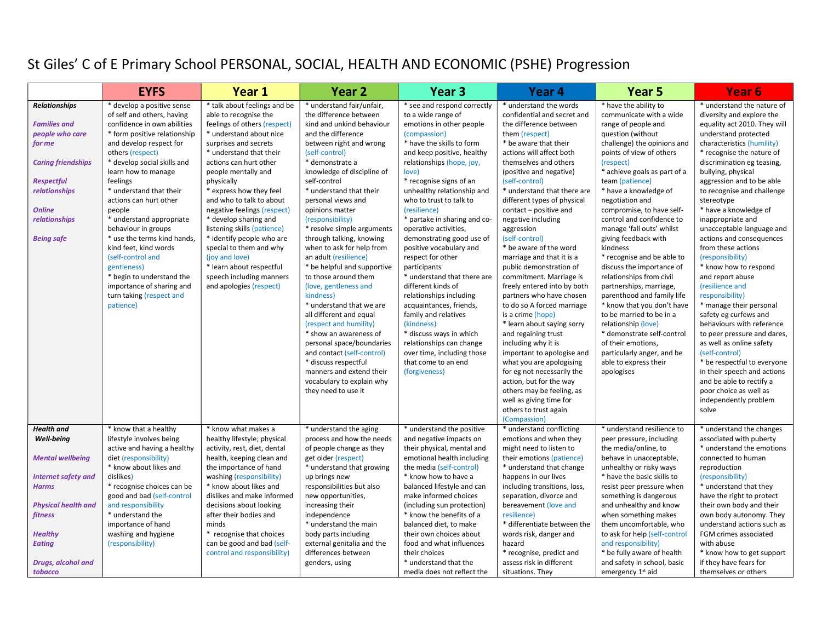## St Giles' C of E Primary School PERSONAL, SOCIAL, HEALTH AND ECONOMIC (PSHE) Progression

|                                                                                                                                                                                                                  | <b>EYFS</b>                                                                                                                                                                                                                                                                                                                                                                                                                                                                                                                                               | Year 1                                                                                                                                                                                                                                                                                                                                                                                                                                                                                                                                         | Year <sub>2</sub>                                                                                                                                                                                                                                                                                                                                                                                                                                                                                                                                                                                                                                                                                                                                                                                       | Year <sub>3</sub>                                                                                                                                                                                                                                                                                                                                                                                                                                                                                                                                                                                                                                                                                                                      | Year <sub>4</sub>                                                                                                                                                                                                                                                                                                                                                                                                                                                                                                                                                                                                                                                                                                                                                                                                                                                                     | Year <sub>5</sub>                                                                                                                                                                                                                                                                                                                                                                                                                                                                                                                                                                                                                                                                                                                                        | Year <sub>6</sub>                                                                                                                                                                                                                                                                                                                                                                                                                                                                                                                                                                                                                                                                                                                                                                                                                                               |
|------------------------------------------------------------------------------------------------------------------------------------------------------------------------------------------------------------------|-----------------------------------------------------------------------------------------------------------------------------------------------------------------------------------------------------------------------------------------------------------------------------------------------------------------------------------------------------------------------------------------------------------------------------------------------------------------------------------------------------------------------------------------------------------|------------------------------------------------------------------------------------------------------------------------------------------------------------------------------------------------------------------------------------------------------------------------------------------------------------------------------------------------------------------------------------------------------------------------------------------------------------------------------------------------------------------------------------------------|---------------------------------------------------------------------------------------------------------------------------------------------------------------------------------------------------------------------------------------------------------------------------------------------------------------------------------------------------------------------------------------------------------------------------------------------------------------------------------------------------------------------------------------------------------------------------------------------------------------------------------------------------------------------------------------------------------------------------------------------------------------------------------------------------------|----------------------------------------------------------------------------------------------------------------------------------------------------------------------------------------------------------------------------------------------------------------------------------------------------------------------------------------------------------------------------------------------------------------------------------------------------------------------------------------------------------------------------------------------------------------------------------------------------------------------------------------------------------------------------------------------------------------------------------------|---------------------------------------------------------------------------------------------------------------------------------------------------------------------------------------------------------------------------------------------------------------------------------------------------------------------------------------------------------------------------------------------------------------------------------------------------------------------------------------------------------------------------------------------------------------------------------------------------------------------------------------------------------------------------------------------------------------------------------------------------------------------------------------------------------------------------------------------------------------------------------------|----------------------------------------------------------------------------------------------------------------------------------------------------------------------------------------------------------------------------------------------------------------------------------------------------------------------------------------------------------------------------------------------------------------------------------------------------------------------------------------------------------------------------------------------------------------------------------------------------------------------------------------------------------------------------------------------------------------------------------------------------------|-----------------------------------------------------------------------------------------------------------------------------------------------------------------------------------------------------------------------------------------------------------------------------------------------------------------------------------------------------------------------------------------------------------------------------------------------------------------------------------------------------------------------------------------------------------------------------------------------------------------------------------------------------------------------------------------------------------------------------------------------------------------------------------------------------------------------------------------------------------------|
| <b>Relationships</b><br><b>Families and</b><br>people who care<br>for me<br><b>Caring friendships</b><br><b>Respectful</b><br><b>relationships</b><br><b>Online</b><br><i>relationships</i><br><b>Being safe</b> | * develop a positive sense<br>of self and others, having<br>confidence in own abilities<br>* form positive relationship<br>and develop respect for<br>others (respect)<br>* develop social skills and<br>learn how to manage<br>feelings<br>* understand that their<br>actions can hurt other<br>people<br>* understand appropriate<br>behaviour in groups<br>* use the terms kind hands,<br>kind feet. kind words<br>(self-control and<br>gentleness)<br>* begin to understand the<br>importance of sharing and<br>turn taking (respect and<br>patience) | * talk about feelings and be<br>able to recognise the<br>feelings of others (respect)<br>* understand about nice<br>surprises and secrets<br>* understand that their<br>actions can hurt other<br>people mentally and<br>physically<br>* express how they feel<br>and who to talk to about<br>negative feelings (respect)<br>* develop sharing and<br>listening skills (patience)<br>* identify people who are<br>special to them and why<br>(joy and love)<br>* learn about respectful<br>speech including manners<br>and apologies (respect) | * understand fair/unfair,<br>the difference between<br>kind and unkind behaviour<br>and the difference<br>between right and wrong<br>(self-control)<br>* demonstrate a<br>knowledge of discipline of<br>self-control<br>* understand that their<br>personal views and<br>opinions matter<br>(responsibility)<br>* resolve simple arguments<br>through talking, knowing<br>when to ask for help from<br>an adult (resilience)<br>* be helpful and supportive<br>to those around them<br>(love, gentleness and<br>kindness)<br>* understand that we are<br>all different and equal<br>(respect and humility)<br>* show an awareness of<br>personal space/boundaries<br>and contact (self-control)<br>* discuss respectful<br>manners and extend their<br>vocabulary to explain why<br>they need to use it | * see and respond correctly<br>to a wide range of<br>emotions in other people<br>(compassion)<br>* have the skills to form<br>and keep positive, healthy<br>relationships (hope, joy,<br>love)<br>* recognise signs of an<br>unhealthy relationship and<br>who to trust to talk to<br>(resilience)<br>* partake in sharing and co-<br>operative activities,<br>demonstrating good use of<br>positive vocabulary and<br>respect for other<br>participants<br>* understand that there are<br>different kinds of<br>relationships including<br>acquaintances, friends,<br>family and relatives<br>(kindness)<br>* discuss ways in which<br>relationships can change<br>over time, including those<br>that come to an end<br>(forgiveness) | * understand the words<br>confidential and secret and<br>the difference between<br>them (respect)<br>* be aware that their<br>actions will affect both<br>themselves and others<br>(positive and negative)<br>(self-control)<br>* understand that there are<br>different types of physical<br>contact - positive and<br>negative including<br>aggression<br>(self-control)<br>* be aware of the word<br>marriage and that it is a<br>public demonstration of<br>commitment. Marriage is<br>freely entered into by both<br>partners who have chosen<br>to do so A forced marriage<br>is a crime (hope)<br>* learn about saying sorry<br>and regaining trust<br>including why it is<br>important to apologise and<br>what you are apologising<br>for eg not necessarily the<br>action, but for the way<br>others may be feeling, as<br>well as giving time for<br>others to trust again | * have the ability to<br>communicate with a wide<br>range of people and<br>question (without<br>challenge) the opinions and<br>points of view of others<br>(respect)<br>* achieve goals as part of a<br>team (patience)<br>* have a knowledge of<br>negotiation and<br>compromise, to have self-<br>control and confidence to<br>manage 'fall outs' whilst<br>giving feedback with<br>kindness<br>* recognise and be able to<br>discuss the importance of<br>relationships from civil<br>partnerships, marriage,<br>parenthood and family life<br>* know that you don't have<br>to be married to be in a<br>relationship (love)<br>* demonstrate self-control<br>of their emotions,<br>particularly anger, and be<br>able to express their<br>apologises | * understand the nature of<br>diversity and explore the<br>equality act 2010. They will<br>understand protected<br>characteristics (humility)<br>* recognise the nature of<br>discrimination eg teasing,<br>bullying, physical<br>aggression and to be able<br>to recognise and challenge<br>stereotype<br>* have a knowledge of<br>inappropriate and<br>unacceptable language and<br>actions and consequences<br>from these actions<br>(responsibility)<br>* know how to respond<br>and report abuse<br>(resilience and<br>responsibility)<br>* manage their personal<br>safety eg curfews and<br>behaviours with reference<br>to peer pressure and dares,<br>as well as online safety<br>(self-control)<br>* be respectful to everyone<br>in their speech and actions<br>and be able to rectify a<br>poor choice as well as<br>independently problem<br>solve |
| Health and<br>Well-being                                                                                                                                                                                         | * know that a healthy<br>lifestyle involves being                                                                                                                                                                                                                                                                                                                                                                                                                                                                                                         | * know what makes a<br>healthy lifestyle; physical                                                                                                                                                                                                                                                                                                                                                                                                                                                                                             | * understand the aging<br>process and how the needs                                                                                                                                                                                                                                                                                                                                                                                                                                                                                                                                                                                                                                                                                                                                                     | * understand the positive<br>and negative impacts on                                                                                                                                                                                                                                                                                                                                                                                                                                                                                                                                                                                                                                                                                   | (Compassion)<br>* understand conflicting<br>emotions and when they                                                                                                                                                                                                                                                                                                                                                                                                                                                                                                                                                                                                                                                                                                                                                                                                                    | * understand resilience to<br>peer pressure, including                                                                                                                                                                                                                                                                                                                                                                                                                                                                                                                                                                                                                                                                                                   | * understand the changes<br>associated with puberty                                                                                                                                                                                                                                                                                                                                                                                                                                                                                                                                                                                                                                                                                                                                                                                                             |
| <b>Mental wellbeing</b>                                                                                                                                                                                          | active and having a healthy<br>diet (responsibility)<br>* know about likes and                                                                                                                                                                                                                                                                                                                                                                                                                                                                            | activity, rest, diet, dental<br>health, keeping clean and<br>the importance of hand                                                                                                                                                                                                                                                                                                                                                                                                                                                            | of people change as they<br>get older (respect)<br>* understand that growing                                                                                                                                                                                                                                                                                                                                                                                                                                                                                                                                                                                                                                                                                                                            | their physical, mental and<br>emotional health including<br>the media (self-control)                                                                                                                                                                                                                                                                                                                                                                                                                                                                                                                                                                                                                                                   | might need to listen to<br>their emotions (patience)<br>* understand that change                                                                                                                                                                                                                                                                                                                                                                                                                                                                                                                                                                                                                                                                                                                                                                                                      | the media/online, to<br>behave in unacceptable,<br>unhealthy or risky ways                                                                                                                                                                                                                                                                                                                                                                                                                                                                                                                                                                                                                                                                               | * understand the emotions<br>connected to human<br>reproduction                                                                                                                                                                                                                                                                                                                                                                                                                                                                                                                                                                                                                                                                                                                                                                                                 |
| <b>Internet safety and</b><br>Harms                                                                                                                                                                              | dislikes)<br>* recognise choices can be<br>good and bad (self-control                                                                                                                                                                                                                                                                                                                                                                                                                                                                                     | washing (responsibility)<br>* know about likes and<br>dislikes and make informed                                                                                                                                                                                                                                                                                                                                                                                                                                                               | up brings new<br>responsibilities but also<br>new opportunities,                                                                                                                                                                                                                                                                                                                                                                                                                                                                                                                                                                                                                                                                                                                                        | * know how to have a<br>balanced lifestyle and can<br>make informed choices                                                                                                                                                                                                                                                                                                                                                                                                                                                                                                                                                                                                                                                            | happens in our lives<br>including transitions, loss,<br>separation, divorce and                                                                                                                                                                                                                                                                                                                                                                                                                                                                                                                                                                                                                                                                                                                                                                                                       | * have the basic skills to<br>resist peer pressure when<br>something is dangerous                                                                                                                                                                                                                                                                                                                                                                                                                                                                                                                                                                                                                                                                        | (responsibility)<br>* understand that they<br>have the right to protect                                                                                                                                                                                                                                                                                                                                                                                                                                                                                                                                                                                                                                                                                                                                                                                         |
| <b>Physical health and</b><br>fitness                                                                                                                                                                            | and responsibility<br>* understand the<br>importance of hand                                                                                                                                                                                                                                                                                                                                                                                                                                                                                              | decisions about looking<br>after their bodies and<br>minds                                                                                                                                                                                                                                                                                                                                                                                                                                                                                     | increasing their<br>independence<br>* understand the main                                                                                                                                                                                                                                                                                                                                                                                                                                                                                                                                                                                                                                                                                                                                               | (including sun protection)<br>* know the benefits of a<br>balanced diet, to make                                                                                                                                                                                                                                                                                                                                                                                                                                                                                                                                                                                                                                                       | bereavement (love and<br>resilience)<br>* differentiate between the                                                                                                                                                                                                                                                                                                                                                                                                                                                                                                                                                                                                                                                                                                                                                                                                                   | and unhealthy and know<br>when something makes<br>them uncomfortable, who                                                                                                                                                                                                                                                                                                                                                                                                                                                                                                                                                                                                                                                                                | their own body and their<br>own body autonomy. They<br>understand actions such as                                                                                                                                                                                                                                                                                                                                                                                                                                                                                                                                                                                                                                                                                                                                                                               |
| <b>Healthy</b><br><b>Eating</b><br>Drugs, alcohol and                                                                                                                                                            | washing and hygiene<br>(responsibility)                                                                                                                                                                                                                                                                                                                                                                                                                                                                                                                   | * recognise that choices<br>can be good and bad (self-<br>control and responsibility)                                                                                                                                                                                                                                                                                                                                                                                                                                                          | body parts including<br>external genitalia and the<br>differences between<br>genders, using                                                                                                                                                                                                                                                                                                                                                                                                                                                                                                                                                                                                                                                                                                             | their own choices about<br>food and what influences<br>their choices<br>* understand that the                                                                                                                                                                                                                                                                                                                                                                                                                                                                                                                                                                                                                                          | words risk, danger and<br>hazard<br>* recognise, predict and<br>assess risk in different                                                                                                                                                                                                                                                                                                                                                                                                                                                                                                                                                                                                                                                                                                                                                                                              | to ask for help (self-control<br>and responsibility)<br>* be fully aware of health<br>and safety in school, basic                                                                                                                                                                                                                                                                                                                                                                                                                                                                                                                                                                                                                                        | FGM crimes associated<br>with abuse<br>* know how to get support<br>if they have fears for                                                                                                                                                                                                                                                                                                                                                                                                                                                                                                                                                                                                                                                                                                                                                                      |
| tobacco                                                                                                                                                                                                          |                                                                                                                                                                                                                                                                                                                                                                                                                                                                                                                                                           |                                                                                                                                                                                                                                                                                                                                                                                                                                                                                                                                                |                                                                                                                                                                                                                                                                                                                                                                                                                                                                                                                                                                                                                                                                                                                                                                                                         | media does not reflect the                                                                                                                                                                                                                                                                                                                                                                                                                                                                                                                                                                                                                                                                                                             | situations. They                                                                                                                                                                                                                                                                                                                                                                                                                                                                                                                                                                                                                                                                                                                                                                                                                                                                      | emergency 1st aid                                                                                                                                                                                                                                                                                                                                                                                                                                                                                                                                                                                                                                                                                                                                        | themselves or others                                                                                                                                                                                                                                                                                                                                                                                                                                                                                                                                                                                                                                                                                                                                                                                                                                            |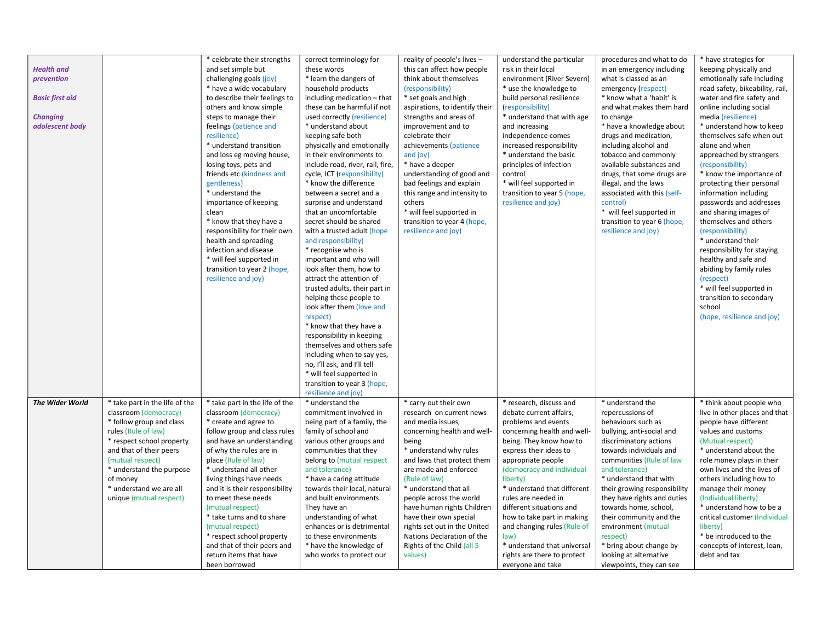|                        |                                | * celebrate their strengths    | correct terminology for          | reality of people's lives -    | understand the particular   | procedures and what to do    | * have strategies for                                |
|------------------------|--------------------------------|--------------------------------|----------------------------------|--------------------------------|-----------------------------|------------------------------|------------------------------------------------------|
| <b>Health and</b>      |                                | and set simple but             | these words                      | this can affect how people     | risk in their local         | in an emergency including    | keeping physically and                               |
| prevention             |                                | challenging goals (joy)        | * learn the dangers of           | think about themselves         | environment (River Severn)  | what is classed as an        | emotionally safe including                           |
|                        |                                | * have a wide vocabulary       | household products               | (responsibility)               | * use the knowledge to      | emergency (respect)          | road safety, bikeability, rail,                      |
| <b>Basic first aid</b> |                                | to describe their feelings to  | including medication - that      | * set goals and high           | build personal resilience   | * know what a 'habit' is     | water and fire safety and                            |
|                        |                                | others and know simple         | these can be harmful if not      | aspirations, to identify their | (responsibility)            | and what makes them hard     | online including social                              |
|                        |                                |                                |                                  |                                |                             |                              |                                                      |
| <b>Changing</b>        |                                | steps to manage their          | used correctly (resilience)      | strengths and areas of         | * understand that with age  | to change                    | media (resilience)                                   |
| adolescent body        |                                | feelings (patience and         | * understand about               | improvement and to             | and increasing              | * have a knowledge about     | * understand how to keep<br>themselves safe when out |
|                        |                                | resilience)                    | keeping safe both                | celebrate their                | independence comes          | drugs and medication,        |                                                      |
|                        |                                | * understand transition        | physically and emotionally       | achievements (patience         | increased responsibility    | including alcohol and        | alone and when                                       |
|                        |                                | and loss eg moving house,      | in their environments to         | and joy)                       | * understand the basic      | tobacco and commonly         | approached by strangers                              |
|                        |                                | losing toys, pets and          | include road, river, rail, fire, | * have a deeper                | principles of infection     | available substances and     | (responsibility)                                     |
|                        |                                | friends etc (kindness and      | cycle, ICT (responsibility)      | understanding of good and      | control                     | drugs, that some drugs are   | * know the importance of                             |
|                        |                                | gentleness)                    | * know the difference            | bad feelings and explain       | * will feel supported in    | illegal, and the laws        | protecting their personal                            |
|                        |                                | * understand the               | between a secret and a           | this range and intensity to    | transition to year 5 (hope, | associated with this (self-  | information including                                |
|                        |                                | importance of keeping          | surprise and understand          | others                         | resilience and joy)         | control)                     | passwords and addresses                              |
|                        |                                | clean                          | that an uncomfortable            | * will feel supported in       |                             | * will feel supported in     | and sharing images of                                |
|                        |                                | * know that they have a        | secret should be shared          | transition to year 4 (hope,    |                             | transition to year 6 (hope,  | themselves and others                                |
|                        |                                | responsibility for their own   | with a trusted adult (hope       | resilience and joy)            |                             | resilience and joy)          | (responsibility)                                     |
|                        |                                | health and spreading           | and responsibility)              |                                |                             |                              | * understand their                                   |
|                        |                                | infection and disease          | * recognise who is               |                                |                             |                              | responsibility for staying                           |
|                        |                                | * will feel supported in       | important and who will           |                                |                             |                              | healthy and safe and                                 |
|                        |                                | transition to year 2 (hope,    | look after them, how to          |                                |                             |                              | abiding by family rules                              |
|                        |                                | resilience and joy)            | attract the attention of         |                                |                             |                              | (respect)                                            |
|                        |                                |                                | trusted adults, their part in    |                                |                             |                              | * will feel supported in                             |
|                        |                                |                                | helping these people to          |                                |                             |                              | transition to secondary                              |
|                        |                                |                                | look after them (love and        |                                |                             |                              | school                                               |
|                        |                                |                                | respect)                         |                                |                             |                              | (hope, resilience and joy)                           |
|                        |                                |                                | * know that they have a          |                                |                             |                              |                                                      |
|                        |                                |                                | responsibility in keeping        |                                |                             |                              |                                                      |
|                        |                                |                                | themselves and others safe       |                                |                             |                              |                                                      |
|                        |                                |                                | including when to say yes,       |                                |                             |                              |                                                      |
|                        |                                |                                | no, I'll ask, and I'll tell      |                                |                             |                              |                                                      |
|                        |                                |                                | * will feel supported in         |                                |                             |                              |                                                      |
|                        |                                |                                | transition to year 3 (hope,      |                                |                             |                              |                                                      |
|                        |                                |                                | resilience and joy)              |                                |                             |                              |                                                      |
| The Wider World        | * take part in the life of the | * take part in the life of the | * understand the                 | * carry out their own          | * research, discuss and     | * understand the             | * think about people who                             |
|                        | classroom (democracy)          | classroom (democracy)          | commitment involved in           | research on current news       | debate current affairs,     | repercussions of             | live in other places and that                        |
|                        | * follow group and class       | * create and agree to          | being part of a family, the      | and media issues,              | problems and events         | behaviours such as           | people have different                                |
|                        | rules (Rule of law)            | follow group and class rules   | family of school and             | concerning health and well-    | concerning health and well- | bullying, anti-social and    | values and customs                                   |
|                        | * respect school property      | and have an understanding      | various other groups and         | being                          | being. They know how to     | discriminatory actions       | (Mutual respect)                                     |
|                        | and that of their peers        | of why the rules are in        | communities that they            | * understand why rules         | express their ideas to      | towards individuals and      | * understand about the                               |
|                        | (mutual respect)               | place (Rule of law)            | belong to (mutual respect        | and laws that protect them     | appropriate people          | communities (Rule of law     | role money plays in their                            |
|                        | * understand the purpose       | * understand all other         | and tolerance)                   | are made and enforced          | (democracy and individual   | and tolerance)               | own lives and the lives of                           |
|                        | of money                       | living things have needs       | * have a caring attitude         | (Rule of law)                  | liberty)                    | * understand that with       | others including how to                              |
|                        | * understand we are all        | and it is their responsibility | towards their local, natural     | * understand that all          | * understand that different | their growing responsibility | manage their money                                   |
|                        | unique (mutual respect)        | to meet these needs            | and built environments.          | people across the world        | rules are needed in         | they have rights and duties  | (Individual liberty)                                 |
|                        |                                | (mutual respect)               | They have an                     | have human rights Children     | different situations and    | towards home, school,        | * understand how to be a                             |
|                        |                                | * take turns and to share      | understanding of what            | have their own special         | how to take part in making  | their community and the      | critical customer (Individual                        |
|                        |                                | (mutual respect)               | enhances or is detrimental       | rights set out in the United   | and changing rules (Rule of | environment (mutual          | liberty)                                             |
|                        |                                |                                | to these environments            | Nations Declaration of the     |                             |                              |                                                      |
|                        |                                | * respect school property      |                                  |                                | law)                        | respect)                     | * be introduced to the                               |
|                        |                                | and that of their peers and    | * have the knowledge of          | Rights of the Child (all 5     | * understand that universal | * bring about change by      | concepts of interest, loan,                          |
|                        |                                | return items that have         | who works to protect our         | values)                        | rights are there to protect | looking at alternative       | debt and tax                                         |
|                        |                                | been borrowed                  |                                  |                                | everyone and take           | viewpoints, they can see     |                                                      |